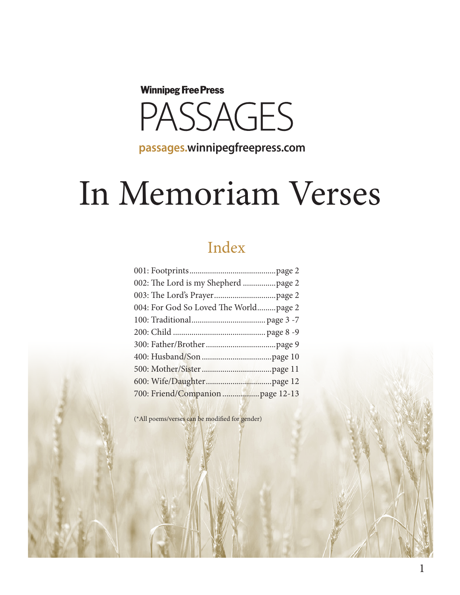**Winnipeg Free Press** 



**passages.winnipegfreepress.com**

# In Memoriam Verses

# Index

| 002: The Lord is my Shepherd page 2   |
|---------------------------------------|
|                                       |
| 004: For God So Loved The Worldpage 2 |
|                                       |
|                                       |
|                                       |
|                                       |
|                                       |
|                                       |
|                                       |
|                                       |

(\*All poems/verses can be modified for gender)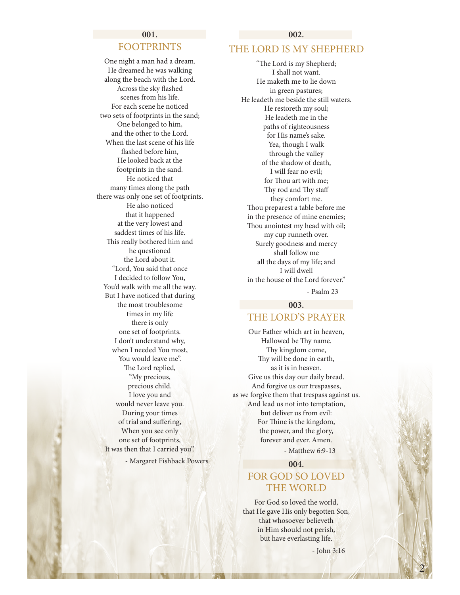# FOOTPRINTS

One night a man had a dream. He dreamed he was walking along the beach with the Lord. Across the sky flashed scenes from his life. For each scene he noticed two sets of footprints in the sand; One belonged to him, and the other to the Lord. When the last scene of his life flashed before him, He looked back at the footprints in the sand. He noticed that many times along the path there was only one set of footprints. He also noticed that it happened at the very lowest and saddest times of his life. This really bothered him and he questioned the Lord about it. "Lord, You said that once I decided to follow You, You'd walk with me all the way. But I have noticed that during the most troublesome times in my life there is only one set of footprints. I don't understand why, when I needed You most, You would leave me". The Lord replied, "My precious, precious child. I love you and would never leave you. During your times of trial and suffering, When you see only one set of footprints, It was then that I carried you". - Margaret Fishback Powers

## THE LORD IS MY SHEPHERD

"The Lord is my Shepherd; I shall not want. He maketh me to lie down in green pastures; He leadeth me beside the still waters. He restoreth my soul; He leadeth me in the paths of righteousness for His name's sake. Yea, though I walk through the valley of the shadow of death, I will fear no evil; for Thou art with me; Thy rod and Thy staff they comfort me. Thou preparest a table before me in the presence of mine enemies; Thou anointest my head with oil; my cup runneth over. Surely goodness and mercy shall follow me all the days of my life; and I will dwell in the house of the Lord forever."

- Psalm 23

#### **003.**

## THE LORD'S PRAYER

Our Father which art in heaven, Hallowed be Thy name. Thy kingdom come, Thy will be done in earth, as it is in heaven. Give us this day our daily bread. And forgive us our trespasses, as we forgive them that trespass against us. And lead us not into temptation, but deliver us from evil: For Thine is the kingdom, the power, and the glory, forever and ever. Amen.

- Matthew 6:9-13

#### **004.**

# FOR GOD SO LOVED THE WORLD

For God so loved the world, that He gave His only begotten Son, that whosoever believeth in Him should not perish, but have everlasting life.

- John 3:16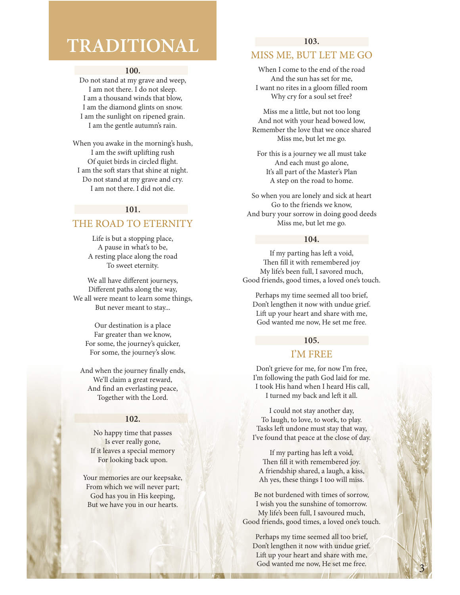# **TRADITIONAL**

#### **100.**

Do not stand at my grave and weep, I am not there. I do not sleep. I am a thousand winds that blow, I am the diamond glints on snow. I am the sunlight on ripened grain. I am the gentle autumn's rain.

When you awake in the morning's hush, I am the swift uplifting rush Of quiet birds in circled flight. I am the soft stars that shine at night. Do not stand at my grave and cry. I am not there. I did not die.

#### **101.**

# THE ROAD TO ETERNITY

Life is but a stopping place, A pause in what's to be, A resting place along the road To sweet eternity.

We all have different journeys, Different paths along the way, We all were meant to learn some things, But never meant to stay...

> Our destination is a place Far greater than we know, For some, the journey's quicker, For some, the journey's slow.

And when the journey finally ends, We'll claim a great reward, And find an everlasting peace, Together with the Lord.

#### **102.**

No happy time that passes Is ever really gone, If it leaves a special memory For looking back upon.

Your memories are our keepsake, From which we will never part; God has you in His keeping, But we have you in our hearts.

#### **103.**

# MISS ME, BUT LET ME GO

When I come to the end of the road And the sun has set for me, I want no rites in a gloom filled room Why cry for a soul set free?

Miss me a little, but not too long And not with your head bowed low, Remember the love that we once shared Miss me, but let me go.

For this is a journey we all must take And each must go alone, It's all part of the Master's Plan A step on the road to home.

So when you are lonely and sick at heart Go to the friends we know, And bury your sorrow in doing good deeds Miss me, but let me go.

#### **104.**

If my parting has left a void, Then fill it with remembered joy My life's been full, I savored much, Good friends, good times, a loved one's touch.

Perhaps my time seemed all too brief, Don't lengthen it now with undue grief. Lift up your heart and share with me, God wanted me now, He set me free.

#### **105.**

### I'M FREE

Don't grieve for me, for now I'm free, I'm following the path God laid for me. I took His hand when I heard His call, I turned my back and left it all.

I could not stay another day, To laugh, to love, to work, to play. Tasks left undone must stay that way, I've found that peace at the close of day.

If my parting has left a void, Then fill it with remembered joy. A friendship shared, a laugh, a kiss, Ah yes, these things I too will miss.

Be not burdened with times of sorrow, I wish you the sunshine of tomorrow. My life's been full, I savoured much, Good friends, good times, a loved one's touch.

Perhaps my time seemed all too brief, Don't lengthen it now with undue grief. Lift up your heart and share with me, God wanted me now, He set me free.

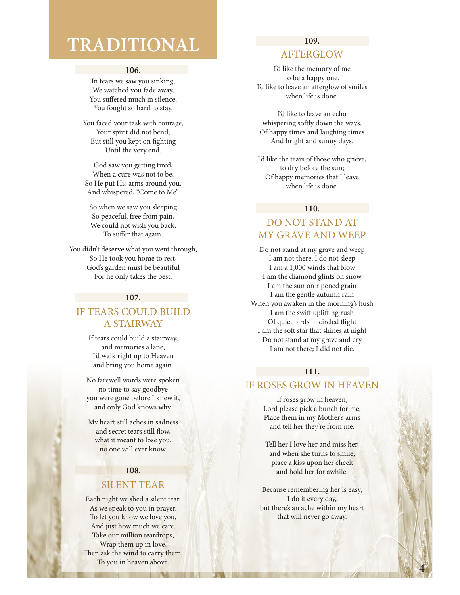# **TRADITIONAL**

# **106.**

In tears we saw you sinking, We watched you fade away, You suffered much in silence, You fought so hard to stay.

You faced your task with courage, Your spirit did not bend, But still you kept on fighting Until the very end.

God saw you getting tired, When a cure was not to be, So He put His arms around you, And whispered, "Come to Me".

So when we saw you sleeping So peaceful, free from pain, We could not wish you back, To suffer that again.

You didn't deserve what you went through, So He took you home to rest, God's garden must be beautiful For he only takes the best.

#### **107.**

# IF TEARS COULD BUILD A STAIRWAY

If tears could build a stairway, and memories a lane, I'd walk right up to Heaven and bring you home again.

No farewell words were spoken no time to say goodbye you were gone before I knew it, and only God knows why.

My heart still aches in sadness and secret tears still flow, what it meant to lose you, no one will ever know.

#### **108.**

#### SILENT TEAR

Each night we shed a silent tear, As we speak to you in prayer. To let you know we love you, And just how much we care. Take our million teardrops, Wrap them up in love, Then ask the wind to carry them, To you in heaven above.

#### **109.**

### AFTERGLOW

I'd like the memory of me to be a happy one. I'd like to leave an afterglow of smiles when life is done.

I'd like to leave an echo whispering softly down the ways, Of happy times and laughing times And bright and sunny days.

I'd like the tears of those who grieve, to dry before the sun; Of happy memories that I leave when life is done.

#### **110.**

# DO NOT STAND AT MY GRAVE AND WEEP

Do not stand at my grave and weep I am not there, I do not sleep I am a 1,000 winds that blow I am the diamond glints on snow I am the sun on ripened grain I am the gentle autumn rain When you awaken in the morning's hush I am the swift uplifting rush Of quiet birds in circled flight I am the soft star that shines at night Do not stand at my grave and cry I am not there; I did not die.

## **111.**

# IF ROSES GROW IN HEAVEN

If roses grow in heaven, Lord please pick a bunch for me, Place them in my Mother's arms and tell her they're from me.

Tell her I love her and miss her, and when she turns to smile, place a kiss upon her cheek and hold her for awhile.

Because remembering her is easy, I do it every day, but there's an ache within my heart that will never go away.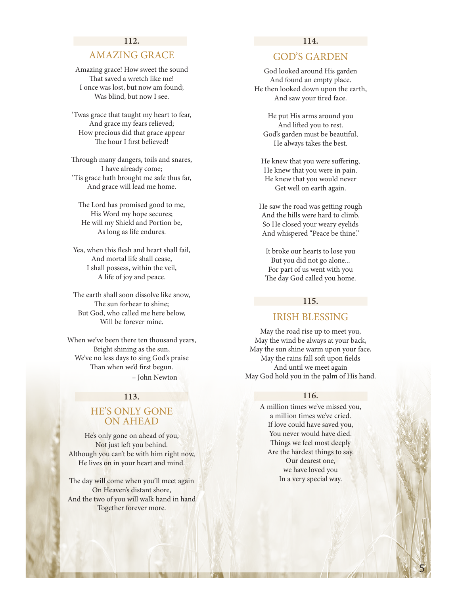# AMAZING GRACE

Amazing grace! How sweet the sound That saved a wretch like me! I once was lost, but now am found; Was blind, but now I see.

'Twas grace that taught my heart to fear, And grace my fears relieved; How precious did that grace appear The hour I first believed!

Through many dangers, toils and snares, I have already come; 'Tis grace hath brought me safe thus far, And grace will lead me home.

The Lord has promised good to me, His Word my hope secures; He will my Shield and Portion be, As long as life endures.

Yea, when this flesh and heart shall fail, And mortal life shall cease, I shall possess, within the veil, A life of joy and peace.

The earth shall soon dissolve like snow, The sun forbear to shine; But God, who called me here below, Will be forever mine.

When we've been there ten thousand years, Bright shining as the sun, We've no less days to sing God's praise Than when we'd first begun. – John Newton

# **113.**

# HE'S ONLY GONE ON AHEAD

He's only gone on ahead of you, Not just left you behind. Although you can't be with him right now, He lives on in your heart and mind.

The day will come when you'll meet again On Heaven's distant shore, And the two of you will walk hand in hand Together forever more.

#### **114.**

# GOD'S GARDEN

God looked around His garden And found an empty place. He then looked down upon the earth, And saw your tired face.

He put His arms around you And lifted you to rest. God's garden must be beautiful, He always takes the best.

He knew that you were suffering, He knew that you were in pain. He knew that you would never Get well on earth again.

He saw the road was getting rough And the hills were hard to climb. So He closed your weary eyelids And whispered "Peace be thine."

It broke our hearts to lose you But you did not go alone... For part of us went with you The day God called you home.

#### **115.**

## IRISH BLESSING

May the road rise up to meet you, May the wind be always at your back, May the sun shine warm upon your face, May the rains fall soft upon fields And until we meet again May God hold you in the palm of His hand.

#### **116.**

A million times we've missed you, a million times we've cried. If love could have saved you, You never would have died. Things we feel most deeply Are the hardest things to say. Our dearest one, we have loved you In a very special way.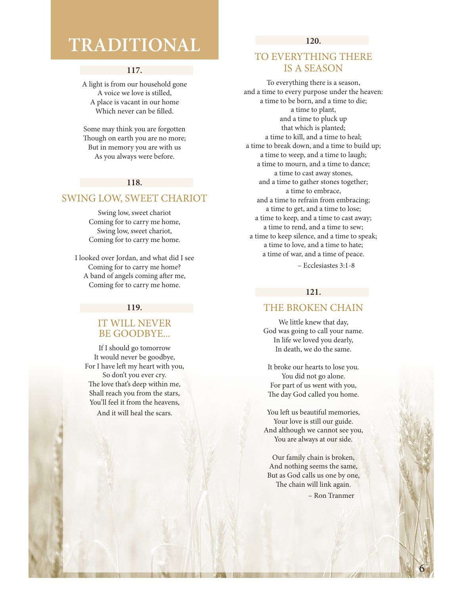# **TRADITIONAL**

#### **117.**

A light is from our household gone A voice we love is stilled, A place is vacant in our home Which never can be filled.

Some may think you are forgotten Though on earth you are no more; But in memory you are with us As you always were before.

#### **118.**

# SWING LOW, SWEET CHARIOT

Swing low, sweet chariot Coming for to carry me home, Swing low, sweet chariot, Coming for to carry me home.

I looked over Jordan, and what did I see Coming for to carry me home? A band of angels coming after me, Coming for to carry me home.

#### **119.**

# IT WILL NEVER BE GOODBYE...

If I should go tomorrow It would never be goodbye, For I have left my heart with you, So don't you ever cry. The love that's deep within me, Shall reach you from the stars, You'll feel it from the heavens, And it will heal the scars.

#### **120.**

# TO EVERYTHING THERE IS A SEASON

To everything there is a season, and a time to every purpose under the heaven: a time to be born, and a time to die; a time to plant, and a time to pluck up that which is planted; a time to kill, and a time to heal; a time to break down, and a time to build up; a time to weep, and a time to laugh; a time to mourn, and a time to dance; a time to cast away stones, and a time to gather stones together; a time to embrace, and a time to refrain from embracing; a time to get, and a time to lose; a time to keep, and a time to cast away; a time to rend, and a time to sew; a time to keep silence, and a time to speak; a time to love, and a time to hate; a time of war, and a time of peace.

– Ecclesiastes 3:1-8

#### **121.**

# THE BROKEN CHAIN

We little knew that day, God was going to call your name. In life we loved you dearly, In death, we do the same.

It broke our hearts to lose you. You did not go alone. For part of us went with you, The day God called you home.

You left us beautiful memories, Your love is still our guide. And although we cannot see you, You are always at our side.

Our family chain is broken, And nothing seems the same, But as God calls us one by one, The chain will link again. – Ron Tranmer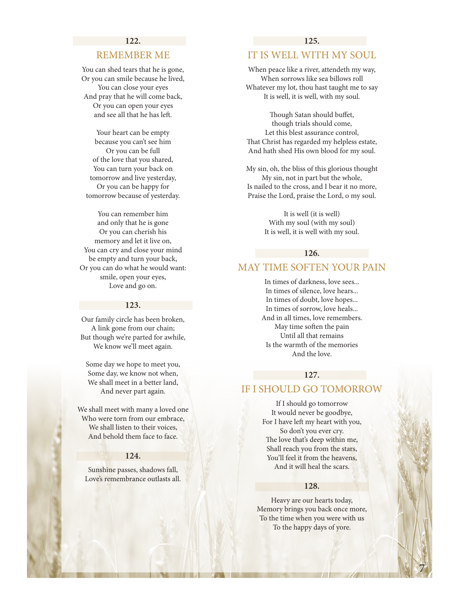#### REMEMBER ME

You can shed tears that he is gone, Or you can smile because he lived, You can close your eyes And pray that he will come back, Or you can open your eyes and see all that he has left.

Your heart can be empty because you can't see him Or you can be full of the love that you shared, You can turn your back on tomorrow and live yesterday, Or you can be happy for tomorrow because of yesterday.

You can remember him and only that he is gone Or you can cherish his memory and let it live on, You can cry and close your mind be empty and turn your back, Or you can do what he would want: smile, open your eyes, Love and go on.

#### **123.**

Our family circle has been broken, A link gone from our chain; But though we're parted for awhile, We know we'll meet again.

Some day we hope to meet you, Some day, we know not when, We shall meet in a better land, And never part again.

We shall meet with many a loved one Who were torn from our embrace, We shall listen to their voices, And behold them face to face.

#### **124.**

Sunshine passes, shadows fall, Love's remembrance outlasts all.

6 7

#### **125.**

# IT IS WELL WITH MY SOUL

When peace like a river, attendeth my way, When sorrows like sea billows roll Whatever my lot, thou hast taught me to say It is well, it is well, with my soul.

Though Satan should buffet, though trials should come, Let this blest assurance control, That Christ has regarded my helpless estate, And hath shed His own blood for my soul.

My sin, oh, the bliss of this glorious thought My sin, not in part but the whole, Is nailed to the cross, and I bear it no more, Praise the Lord, praise the Lord, o my soul.

> It is well (it is well) With my soul (with my soul) It is well, it is well with my soul.

#### **126.**

# MAY TIME SOFTEN YOUR PAIN

In times of darkness, love sees... In times of silence, love hears... In times of doubt, love hopes... In times of sorrow, love heals... And in all times, love remembers. May time soften the pain Until all that remains Is the warmth of the memories And the love.

#### **127.**

## IF I SHOULD GO TOMORROW

If I should go tomorrow It would never be goodbye, For I have left my heart with you, So don't you ever cry. The love that's deep within me, Shall reach you from the stars, You'll feel it from the heavens, And it will heal the scars.

#### **128.**

Heavy are our hearts today, Memory brings you back once more, To the time when you were with us To the happy days of yore.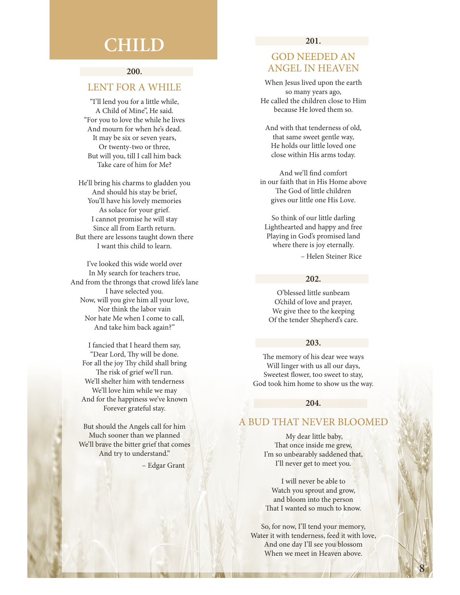# **CHILD**

#### **200.**

# LENT FOR A WHILE

"I'll lend you for a little while, A Child of Mine", He said. "For you to love the while he lives And mourn for when he's dead. It may be six or seven years, Or twenty-two or three, But will you, till I call him back Take care of him for Me?

He'll bring his charms to gladden you And should his stay be brief, You'll have his lovely memories As solace for your grief. I cannot promise he will stay Since all from Earth return. But there are lessons taught down there I want this child to learn.

I've looked this wide world over In My search for teachers true, And from the throngs that crowd life's lane I have selected you. Now, will you give him all your love, Nor think the labor vain Nor hate Me when I come to call, And take him back again?"

I fancied that I heard them say, "Dear Lord, Thy will be done. For all the joy Thy child shall bring The risk of grief we'll run. We'll shelter him with tenderness We'll love him while we may And for the happiness we've known Forever grateful stay.

But should the Angels call for him Much sooner than we planned We'll brave the bitter grief that comes And try to understand."

– Edgar Grant

#### **201.**

# GOD NEEDED AN ANGEL IN HEAVEN

When Jesus lived upon the earth so many years ago, He called the children close to Him because He loved them so.

And with that tenderness of old, that same sweet gentle way, He holds our little loved one close within His arms today.

And we'll find comfort in our faith that in His Home above The God of little children gives our little one His Love.

So think of our little darling Lighthearted and happy and free Playing in God's promised land where there is joy eternally.

– Helen Steiner Rice

#### **202.**

O'blessed little sunbeam O'child of love and prayer, We give thee to the keeping Of the tender Shepherd's care.

#### **203.**

The memory of his dear wee ways Will linger with us all our days, Sweetest flower, too sweet to stay, God took him home to show us the way.

#### **204.**

# A BUD THAT NEVER BLOOMED

 My dear little baby, That once inside me grew, I'm so unbearably saddened that, I'll never get to meet you.

I will never be able to Watch you sprout and grow, and bloom into the person That I wanted so much to know.

So, for now, I'll tend your memory, Water it with tenderness, feed it with love, And one day I'll see you blossom When we meet in Heaven above.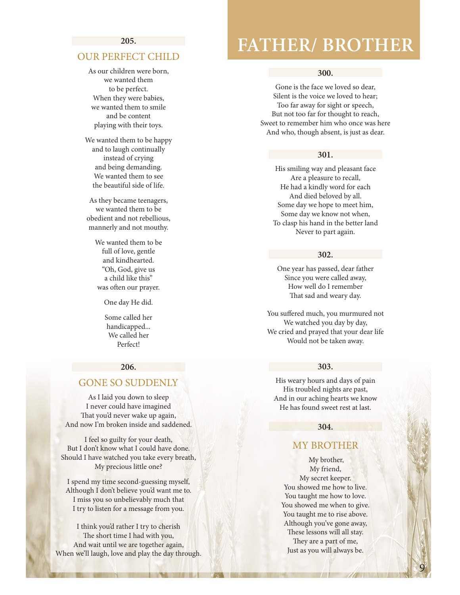### OUR PERFECT CHILD

As our children were born, we wanted them to be perfect. When they were babies, we wanted them to smile and be content playing with their toys.

We wanted them to be happy and to laugh continually instead of crying and being demanding. We wanted them to see the beautiful side of life.

As they became teenagers, we wanted them to be obedient and not rebellious, mannerly and not mouthy.

We wanted them to be full of love, gentle and kindhearted. "Oh, God, give us a child like this" was often our prayer.

One day He did.

Some called her handicapped... We called her Perfect!

#### **206.**

# GONE SO SUDDENLY

As I laid you down to sleep I never could have imagined That you'd never wake up again, And now I'm broken inside and saddened.

I feel so guilty for your death, But I don't know what I could have done. Should I have watched you take every breath, My precious little one?

I spend my time second-guessing myself, Although I don't believe you'd want me to. I miss you so unbelievably much that I try to listen for a message from you.

I think you'd rather I try to cherish The short time I had with you, And wait until we are together again, When we'll laugh, love and play the day through.

# **FATHER/ BROTHER**

#### **300.**

Gone is the face we loved so dear, Silent is the voice we loved to hear; Too far away for sight or speech, But not too far for thought to reach, Sweet to remember him who once was here And who, though absent, is just as dear.

#### **301.**

His smiling way and pleasant face Are a pleasure to recall, He had a kindly word for each And died beloved by all. Some day we hope to meet him, Some day we know not when, To clasp his hand in the better land Never to part again.

#### **302.**

One year has passed, dear father Since you were called away, How well do I remember That sad and weary day.

You suffered much, you murmured not We watched you day by day, We cried and prayed that your dear life Would not be taken away.

#### **303.**

His weary hours and days of pain His troubled nights are past, And in our aching hearts we know He has found sweet rest at last.

#### **304.**

# MY BROTHER

 My brother, My friend, My secret keeper. You showed me how to live. You taught me how to love. You showed me when to give. You taught me to rise above. Although you've gone away, These lessons will all stay. They are a part of me, Just as you will always be.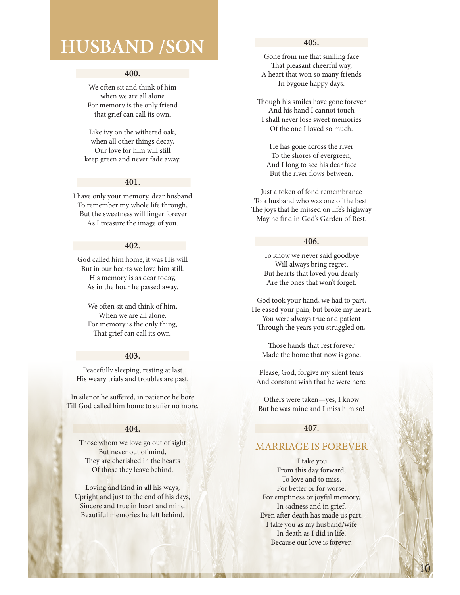# **HUSBAND /SON**

#### **400.**

We often sit and think of him when we are all alone For memory is the only friend that grief can call its own.

Like ivy on the withered oak, when all other things decay, Our love for him will still keep green and never fade away.

#### **401.**

I have only your memory, dear husband To remember my whole life through, But the sweetness will linger forever As I treasure the image of you.

#### **402.**

God called him home, it was His will But in our hearts we love him still. His memory is as dear today, As in the hour he passed away.

We often sit and think of him, When we are all alone. For memory is the only thing, That grief can call its own.

#### **403.**

Peacefully sleeping, resting at last His weary trials and troubles are past,

In silence he suffered, in patience he bore Till God called him home to suffer no more.

#### **404.**

Those whom we love go out of sight But never out of mind, They are cherished in the hearts Of those they leave behind.

Loving and kind in all his ways, Upright and just to the end of his days, Sincere and true in heart and mind Beautiful memories he left behind.

#### **405.**

Gone from me that smiling face That pleasant cheerful way, A heart that won so many friends In bygone happy days.

Though his smiles have gone forever And his hand I cannot touch I shall never lose sweet memories Of the one I loved so much.

He has gone across the river To the shores of evergreen, And I long to see his dear face But the river flows between.

Just a token of fond remembrance To a husband who was one of the best. The joys that he missed on life's highway May he find in God's Garden of Rest.

#### **406.**

To know we never said goodbye Will always bring regret, But hearts that loved you dearly Are the ones that won't forget.

God took your hand, we had to part, He eased your pain, but broke my heart. You were always true and patient Through the years you struggled on,

Those hands that rest forever Made the home that now is gone.

Please, God, forgive my silent tears And constant wish that he were here.

Others were taken—yes, I know But he was mine and I miss him so!

**407.** 

# MARRIAGE IS FOREVER

 I take you From this day forward, To love and to miss, For better or for worse, For emptiness or joyful memory, In sadness and in grief, Even after death has made us part. I take you as my husband/wife In death as I did in life, Because our love is forever.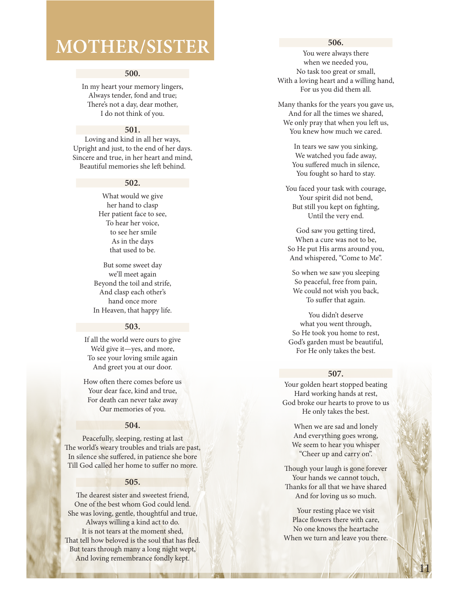# **MOTHER/SISTER**

#### **500.**

In my heart your memory lingers, Always tender, fond and true; There's not a day, dear mother, I do not think of you.

#### **501.**

Loving and kind in all her ways, Upright and just, to the end of her days. Sincere and true, in her heart and mind, Beautiful memories she left behind.

#### **502.**

What would we give her hand to clasp Her patient face to see, To hear her voice, to see her smile As in the days that used to be.

But some sweet day we'll meet again Beyond the toil and strife, And clasp each other's hand once more In Heaven, that happy life.

#### **503.**

If all the world were ours to give We'd give it—yes, and more, To see your loving smile again And greet you at our door.

How often there comes before us Your dear face, kind and true, For death can never take away Our memories of you.

#### **504.**

Peacefully, sleeping, resting at last The world's weary troubles and trials are past, In silence she suffered, in patience she bore Till God called her home to suffer no more.

#### **505.**

The dearest sister and sweetest friend, One of the best whom God could lend. She was loving, gentle, thoughtful and true, Always willing a kind act to do. It is not tears at the moment shed, That tell how beloved is the soul that has fled. But tears through many a long night wept, And loving remembrance fondly kept.

#### **506.**

You were always there when we needed you, No task too great or small, With a loving heart and a willing hand, For us you did them all.

Many thanks for the years you gave us, And for all the times we shared, We only pray that when you left us, You knew how much we cared.

> In tears we saw you sinking, We watched you fade away, You suffered much in silence, You fought so hard to stay.

You faced your task with courage, Your spirit did not bend, But still you kept on fighting, Until the very end.

God saw you getting tired, When a cure was not to be, So He put His arms around you, And whispered, "Come to Me".

So when we saw you sleeping So peaceful, free from pain, We could not wish you back, To suffer that again.

You didn't deserve what you went through, So He took you home to rest, God's garden must be beautiful, For He only takes the best.

### **507.**

Your golden heart stopped beating Hard working hands at rest, God broke our hearts to prove to us He only takes the best.

When we are sad and lonely And everything goes wrong, We seem to hear you whisper "Cheer up and carry on".

Though your laugh is gone forever Your hands we cannot touch, Thanks for all that we have shared And for loving us so much.

Your resting place we visit Place flowers there with care, No one knows the heartache When we turn and leave you there.

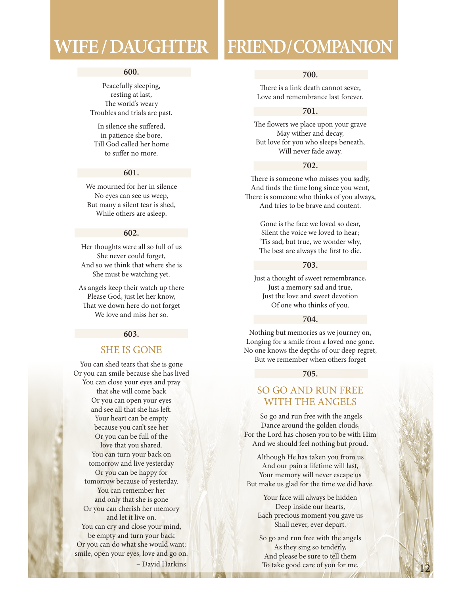# **WIFE / DAUGHTER**

#### **600.**

Peacefully sleeping, resting at last, The world's weary Troubles and trials are past.

In silence she suffered, in patience she bore, Till God called her home to suffer no more.

#### **601.**

We mourned for her in silence No eyes can see us weep, But many a silent tear is shed, While others are asleep.

#### **602.**

Her thoughts were all so full of us She never could forget, And so we think that where she is She must be watching yet.

As angels keep their watch up there Please God, just let her know, That we down here do not forget We love and miss her so.

#### **603.**

#### SHE IS GONE

You can shed tears that she is gone Or you can smile because she has lived You can close your eyes and pray that she will come back Or you can open your eyes and see all that she has left. Your heart can be empty because you can't see her Or you can be full of the love that you shared. You can turn your back on tomorrow and live yesterday Or you can be happy for tomorrow because of yesterday. You can remember her and only that she is gone Or you can cherish her memory and let it live on. You can cry and close your mind, be empty and turn your back Or you can do what she would want: smile, open your eyes, love and go on. – David Harkins

# **FRIEND / COMPANION**

# **700.**

There is a link death cannot sever, Love and remembrance last forever.

# **701.**

The flowers we place upon your grave May wither and decay, But love for you who sleeps beneath, Will never fade away.

#### **702.**

There is someone who misses you sadly, And finds the time long since you went, There is someone who thinks of you always, And tries to be brave and content.

> Gone is the face we loved so dear, Silent the voice we loved to hear; 'Tis sad, but true, we wonder why, The best are always the first to die.

#### **703.**

Just a thought of sweet remembrance, Just a memory sad and true, Just the love and sweet devotion Of one who thinks of you.

#### **704.**

Nothing but memories as we journey on, Longing for a smile from a loved one gone. No one knows the depths of our deep regret, But we remember when others forget

#### **705.**

# SO GO AND RUN FREE WITH THE ANGELS

 So go and run free with the angels Dance around the golden clouds, For the Lord has chosen you to be with Him And we should feel nothing but proud.

Although He has taken you from us And our pain a lifetime will last, Your memory will never escape us But make us glad for the time we did have.

Your face will always be hidden Deep inside our hearts, Each precious moment you gave us Shall never, ever depart.

So go and run free with the angels As they sing so tenderly, And please be sure to tell them To take good care of you for me.